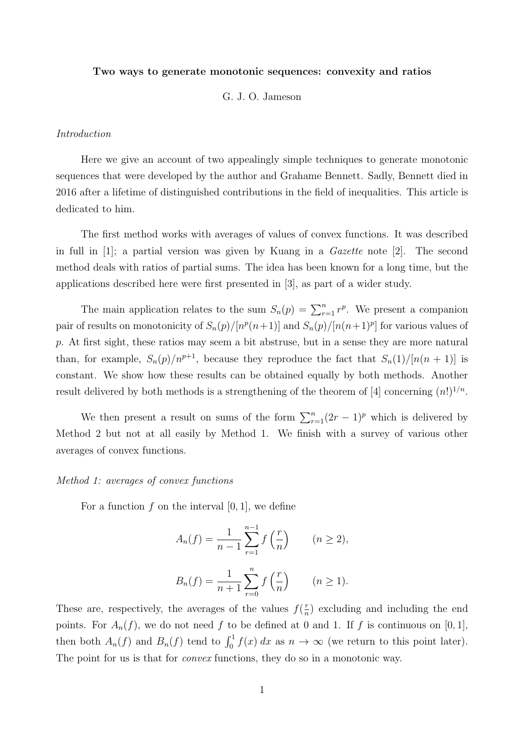#### Two ways to generate monotonic sequences: convexity and ratios

## G. J. O. Jameson

### Introduction

Here we give an account of two appealingly simple techniques to generate monotonic sequences that were developed by the author and Grahame Bennett. Sadly, Bennett died in 2016 after a lifetime of distinguished contributions in the field of inequalities. This article is dedicated to him.

The first method works with averages of values of convex functions. It was described in full in  $[1]$ ; a partial version was given by Kuang in a *Gazette* note  $[2]$ . The second method deals with ratios of partial sums. The idea has been known for a long time, but the applications described here were first presented in [3], as part of a wider study.

The main application relates to the sum  $S_n(p) = \sum_{r=1}^n r^p$ . We present a companion pair of results on monotonicity of  $S_n(p)/[n^p(n+1)]$  and  $S_n(p)/[n(n+1)^p]$  for various values of p. At first sight, these ratios may seem a bit abstruse, but in a sense they are more natural than, for example,  $S_n(p)/n^{p+1}$ , because they reproduce the fact that  $S_n(1)/[n(n+1)]$  is constant. We show how these results can be obtained equally by both methods. Another result delivered by both methods is a strengthening of the theorem of [4] concerning  $(n!)^{1/n}$ .

We then present a result on sums of the form  $\sum_{r=1}^{n} (2r-1)^p$  which is delivered by Method 2 but not at all easily by Method 1. We finish with a survey of various other averages of convex functions.

## Method 1: averages of convex functions

For a function f on the interval  $[0, 1]$ , we define

$$
A_n(f) = \frac{1}{n-1} \sum_{r=1}^{n-1} f\left(\frac{r}{n}\right) \qquad (n \ge 2),
$$
  

$$
B_n(f) = \frac{1}{n+1} \sum_{r=0}^{n} f\left(\frac{r}{n}\right) \qquad (n \ge 1).
$$

These are, respectively, the averages of the values  $f(\frac{r}{n})$  $\frac{r}{n}$ ) excluding and including the end points. For  $A_n(f)$ , we do not need f to be defined at 0 and 1. If f is continuous on [0,1], then both  $A_n(f)$  and  $B_n(f)$  tend to  $\int_0^1 f(x) dx$  as  $n \to \infty$  (we return to this point later). The point for us is that for *convex* functions, they do so in a monotonic way.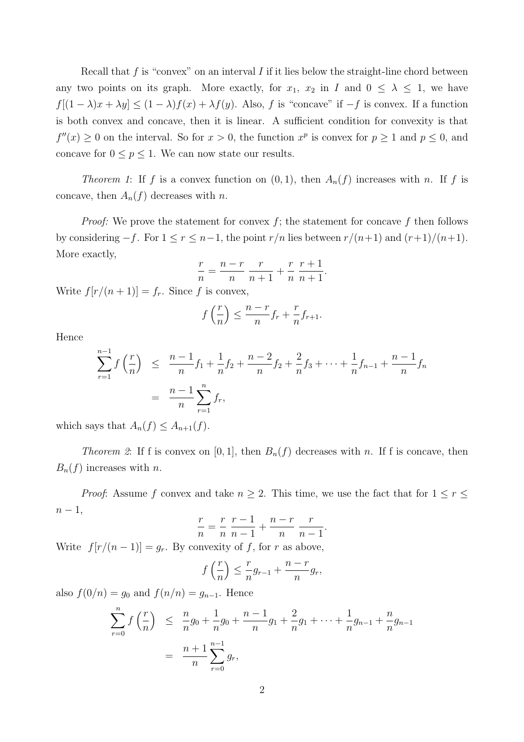Recall that  $f$  is "convex" on an interval  $I$  if it lies below the straight-line chord between any two points on its graph. More exactly, for  $x_1, x_2$  in I and  $0 \leq \lambda \leq 1$ , we have  $f[(1 - \lambda)x + \lambda y] \le (1 - \lambda)f(x) + \lambda f(y)$ . Also, f is "concave" if  $-f$  is convex. If a function is both convex and concave, then it is linear. A sufficient condition for convexity is that  $f''(x) \geq 0$  on the interval. So for  $x > 0$ , the function  $x^p$  is convex for  $p \geq 1$  and  $p \leq 0$ , and concave for  $0\leq p\leq 1.$  We can now state our results.

Theorem 1: If f is a convex function on  $(0, 1)$ , then  $A_n(f)$  increases with n. If f is concave, then  $A_n(f)$  decreases with n.

*Proof:* We prove the statement for convex  $f$ ; the statement for concave  $f$  then follows by considering  $-f$ . For  $1 \le r \le n-1$ , the point  $r/n$  lies between  $r/(n+1)$  and  $(r+1)/(n+1)$ . More exactly,

$$
\frac{r}{n} = \frac{n-r}{n} \frac{r}{n+1} + \frac{r}{n} \frac{r+1}{n+1}.
$$

Write  $f[r/(n+1)] = f_r$ . Since f is convex,

$$
f\left(\frac{r}{n}\right) \le \frac{n-r}{n}f_r + \frac{r}{n}f_{r+1}.
$$

Hence

$$
\sum_{r=1}^{n-1} f\left(\frac{r}{n}\right) \leq \frac{n-1}{n} f_1 + \frac{1}{n} f_2 + \frac{n-2}{n} f_2 + \frac{2}{n} f_3 + \dots + \frac{1}{n} f_{n-1} + \frac{n-1}{n} f_n
$$

$$
= \frac{n-1}{n} \sum_{r=1}^{n} f_r,
$$

which says that  $A_n(f) \leq A_{n+1}(f)$ .

Theorem 2: If f is convex on [0, 1], then  $B_n(f)$  decreases with n. If f is concave, then  $B_n(f)$  increases with n.

*Proof:* Assume f convex and take  $n \geq 2$ . This time, we use the fact that for  $1 \leq r \leq$  $n-1,$ 

$$
\frac{r}{n} = \frac{r}{n} \frac{r-1}{n-1} + \frac{n-r}{n} \frac{r}{n-1}
$$

.

Write  $f[r/(n-1)] = g_r$ . By convexity of f, for r as above,

$$
f\left(\frac{r}{n}\right) \le \frac{r}{n}g_{r-1} + \frac{n-r}{n}g_r,
$$

also  $f(0/n) = g_0$  and  $f(n/n) = g_{n-1}$ . Hence

$$
\sum_{r=0}^{n} f\left(\frac{r}{n}\right) \leq \frac{n}{n}g_0 + \frac{1}{n}g_0 + \frac{n-1}{n}g_1 + \frac{2}{n}g_1 + \dots + \frac{1}{n}g_{n-1} + \frac{n}{n}g_{n-1}
$$

$$
= \frac{n+1}{n} \sum_{r=0}^{n-1} g_r,
$$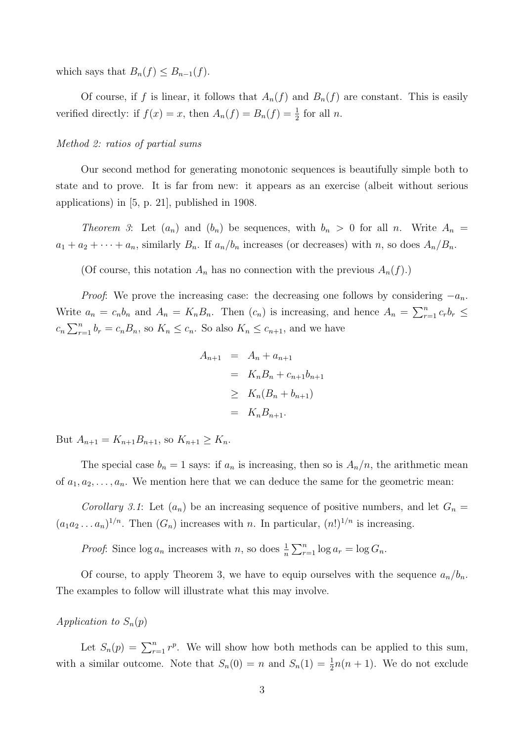which says that  $B_n(f) \leq B_{n-1}(f)$ .

Of course, if f is linear, it follows that  $A_n(f)$  and  $B_n(f)$  are constant. This is easily verified directly: if  $f(x) = x$ , then  $A_n(f) = B_n(f) = \frac{1}{2}$  for all n.

## Method 2: ratios of partial sums

Our second method for generating monotonic sequences is beautifully simple both to state and to prove. It is far from new: it appears as an exercise (albeit without serious applications) in [5, p. 21], published in 1908.

*Theorem 3*: Let  $(a_n)$  and  $(b_n)$  be sequences, with  $b_n > 0$  for all n. Write  $A_n =$  $a_1 + a_2 + \cdots + a_n$ , similarly  $B_n$ . If  $a_n/b_n$  increases (or decreases) with n, so does  $A_n/B_n$ .

(Of course, this notation  $A_n$  has no connection with the previous  $A_n(f)$ .)

*Proof*: We prove the increasing case: the decreasing one follows by considering  $-a_n$ . Write  $a_n = c_n b_n$  and  $A_n = K_n B_n$ . Then  $(c_n)$  is increasing, and hence  $A_n = \sum_{r=1}^n c_r b_r \leq$  $c_n \sum_{r=1}^n b_r = c_n B_n$ , so  $K_n \le c_n$ . So also  $K_n \le c_{n+1}$ , and we have

$$
A_{n+1} = A_n + a_{n+1}
$$
  
=  $K_n B_n + c_{n+1} b_{n+1}$   
 $\ge K_n (B_n + b_{n+1})$   
=  $K_n B_{n+1}$ .

But  $A_{n+1} = K_{n+1}B_{n+1}$ , so  $K_{n+1} \ge K_n$ .

The special case  $b_n = 1$  says: if  $a_n$  is increasing, then so is  $A_n/n$ , the arithmetic mean of  $a_1, a_2, \ldots, a_n$ . We mention here that we can deduce the same for the geometric mean:

Corollary 3.1: Let  $(a_n)$  be an increasing sequence of positive numbers, and let  $G_n =$  $(a_1a_2...a_n)^{1/n}$ . Then  $(G_n)$  increases with n. In particular,  $(n!)^{1/n}$  is increasing.

*Proof*: Since  $\log a_n$  increases with n, so does  $\frac{1}{n} \sum_{r=1}^n \log a_r = \log G_n$ .

Of course, to apply Theorem 3, we have to equip ourselves with the sequence  $a_n/b_n$ . The examples to follow will illustrate what this may involve.

# Application to  $S_n(p)$

Let  $S_n(p) = \sum_{r=1}^n r^p$ . We will show how both methods can be applied to this sum, with a similar outcome. Note that  $S_n(0) = n$  and  $S_n(1) = \frac{1}{2}n(n + 1)$ . We do not exclude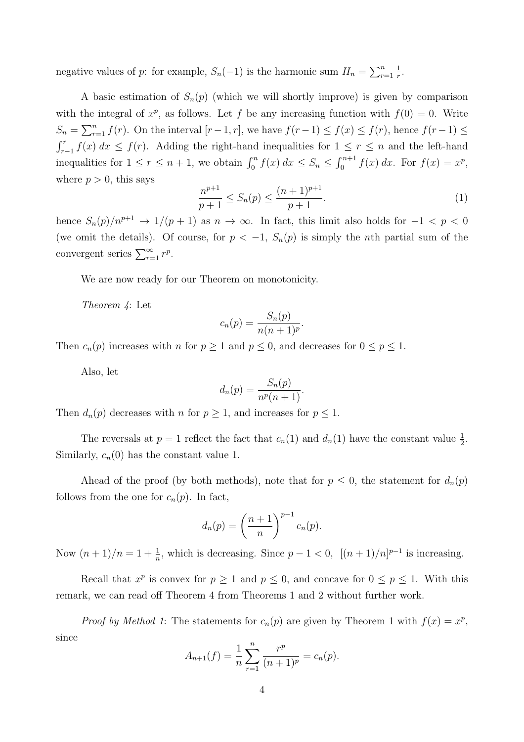negative values of p: for example,  $S_n(-1)$  is the harmonic sum  $H_n = \sum_{r=1}^n$ 1  $\frac{1}{r}$ .

A basic estimation of  $S_n(p)$  (which we will shortly improve) is given by comparison with the integral of  $x^p$ , as follows. Let f be any increasing function with  $f(0) = 0$ . Write  $S_n = \sum_{r=1}^n f(r)$ . On the interval  $[r-1, r]$ , we have  $f(r-1) \le f(x) \le f(r)$ , hence  $f(r-1) \le f(r)$  $\int_{r-1}^r f(x) dx \leq f(r)$ . Adding the right-hand inequalities for  $1 \leq r \leq n$  and the left-hand inequalities for  $1 \le r \le n+1$ , we obtain  $\int_0^n f(x) dx \le S_n \le \int_0^{n+1} f(x) dx$ . For  $f(x) = x^p$ , where  $p > 0$ , this says

$$
\frac{n^{p+1}}{p+1} \le S_n(p) \le \frac{(n+1)^{p+1}}{p+1}.\tag{1}
$$

hence  $S_n(p)/n^{p+1} \to 1/(p+1)$  as  $n \to \infty$ . In fact, this limit also holds for  $-1 < p < 0$ (we omit the details). Of course, for  $p < -1$ ,  $S_n(p)$  is simply the nth partial sum of the convergent series  $\sum_{r=1}^{\infty} r^p$ .

We are now ready for our Theorem on monotonicity.

Theorem 4: Let

$$
c_n(p) = \frac{S_n(p)}{n(n+1)^p}.
$$

Then  $c_n(p)$  increases with n for  $p \ge 1$  and  $p \le 0$ , and decreases for  $0 \le p \le 1$ .

Also, let

$$
d_n(p) = \frac{S_n(p)}{n^p(n+1)}.
$$

Then  $d_n(p)$  decreases with n for  $p \geq 1$ , and increases for  $p \leq 1$ .

The reversals at  $p = 1$  reflect the fact that  $c_n(1)$  and  $d_n(1)$  have the constant value  $\frac{1}{2}$ . Similarly,  $c_n(0)$  has the constant value 1.

Ahead of the proof (by both methods), note that for  $p \leq 0$ , the statement for  $d_n(p)$ follows from the one for  $c_n(p)$ . In fact,

$$
d_n(p) = \left(\frac{n+1}{n}\right)^{p-1} c_n(p).
$$

Now  $(n+1)/n = 1 + \frac{1}{n}$ , which is decreasing. Since  $p-1 < 0$ ,  $[(n+1)/n]^{p-1}$  is increasing.

Recall that  $x^p$  is convex for  $p \ge 1$  and  $p \le 0$ , and concave for  $0 \le p \le 1$ . With this remark, we can read off Theorem 4 from Theorems 1 and 2 without further work.

*Proof by Method 1*: The statements for  $c_n(p)$  are given by Theorem 1 with  $f(x) = x^p$ , since

$$
A_{n+1}(f) = \frac{1}{n} \sum_{r=1}^{n} \frac{r^p}{(n+1)^p} = c_n(p).
$$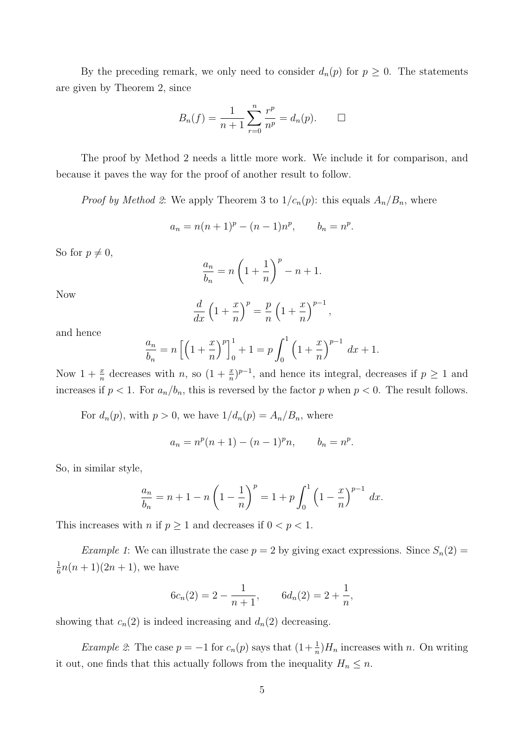By the preceding remark, we only need to consider  $d_n(p)$  for  $p \geq 0$ . The statements are given by Theorem 2, since

$$
B_n(f) = \frac{1}{n+1} \sum_{r=0}^n \frac{r^p}{n^p} = d_n(p). \qquad \Box
$$

The proof by Method 2 needs a little more work. We include it for comparison, and because it paves the way for the proof of another result to follow.

*Proof by Method 2*: We apply Theorem 3 to  $1/c_n(p)$ : this equals  $A_n/B_n$ , where

$$
a_n = n(n+1)^p - (n-1)n^p, \t b_n = n^p.
$$

So for  $p \neq 0$ ,

$$
\frac{a_n}{b_n} = n\left(1 + \frac{1}{n}\right)^p - n + 1.
$$

Now

$$
\frac{d}{dx}\left(1+\frac{x}{n}\right)^p = \frac{p}{n}\left(1+\frac{x}{n}\right)^{p-1},
$$

and hence

$$
\frac{a_n}{b_n} = n \left[ \left( 1 + \frac{x}{n} \right)^p \right]_0^1 + 1 = p \int_0^1 \left( 1 + \frac{x}{n} \right)^{p-1} dx + 1.
$$

Now  $1+\frac{x}{n}$  decreases with n, so  $(1+\frac{x}{n})^{p-1}$ , and hence its integral, decreases if  $p\geq 1$  and increases if  $p < 1$ . For  $a_n/b_n$ , this is reversed by the factor p when  $p < 0$ . The result follows.

For  $d_n(p)$ , with  $p > 0$ , we have  $1/d_n(p) = A_n/B_n$ , where

$$
a_n = n^p(n+1) - (n-1)^p n, \qquad b_n = n^p.
$$

So, in similar style,

$$
\frac{a_n}{b_n} = n + 1 - n \left( 1 - \frac{1}{n} \right)^p = 1 + p \int_0^1 \left( 1 - \frac{x}{n} \right)^{p-1} dx.
$$

This increases with *n* if  $p \ge 1$  and decreases if  $0 < p < 1$ .

*Example 1*: We can illustrate the case  $p = 2$  by giving exact expressions. Since  $S_n(2) =$ 1  $\frac{1}{6}n(n+1)(2n+1)$ , we have

$$
6c_n(2) = 2 - \frac{1}{n+1}, \qquad 6d_n(2) = 2 + \frac{1}{n},
$$

showing that  $c_n(2)$  is indeed increasing and  $d_n(2)$  decreasing.

Example 2: The case  $p = -1$  for  $c_n(p)$  says that  $(1 + \frac{1}{n})H_n$  increases with n. On writing it out, one finds that this actually follows from the inequality  $H_n \leq n$ .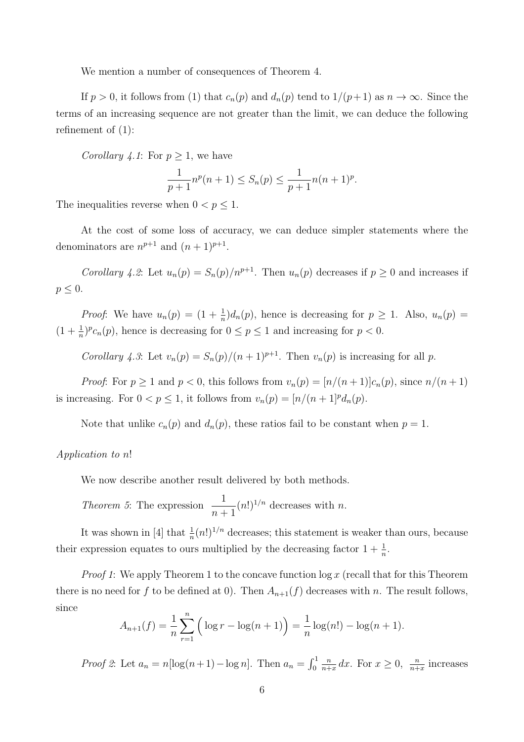We mention a number of consequences of Theorem 4.

If  $p > 0$ , it follows from (1) that  $c_n(p)$  and  $d_n(p)$  tend to  $1/(p+1)$  as  $n \to \infty$ . Since the terms of an increasing sequence are not greater than the limit, we can deduce the following refinement of (1):

Corollary 4.1: For  $p \geq 1$ , we have

$$
\frac{1}{p+1}n^p(n+1) \le S_n(p) \le \frac{1}{p+1}n(n+1)^p.
$$

The inequalities reverse when  $0 < p \leq 1$ .

At the cost of some loss of accuracy, we can deduce simpler statements where the denominators are  $n^{p+1}$  and  $(n+1)^{p+1}$ .

Corollary 4.2: Let  $u_n(p) = S_n(p)/n^{p+1}$ . Then  $u_n(p)$  decreases if  $p \ge 0$  and increases if  $p \leq 0$ .

*Proof*: We have  $u_n(p) = (1 + \frac{1}{n})d_n(p)$ , hence is decreasing for  $p \ge 1$ . Also,  $u_n(p) =$  $(1 + \frac{1}{n})^p c_n(p)$ , hence is decreasing for  $0 \le p \le 1$  and increasing for  $p < 0$ .

Corollary 4.3: Let  $v_n(p) = S_n(p)/(n+1)^{p+1}$ . Then  $v_n(p)$  is increasing for all p.

*Proof:* For  $p \ge 1$  and  $p < 0$ , this follows from  $v_n(p) = \frac{n}{n+1}c_n(p)$ , since  $n/(n+1)$ is increasing. For  $0 < p \le 1$ , it follows from  $v_n(p) = \frac{n}{n+1} p d_n(p)$ .

Note that unlike  $c_n(p)$  and  $d_n(p)$ , these ratios fail to be constant when  $p = 1$ .

## Application to n!

We now describe another result delivered by both methods.

*Theorem 5*: The expression  $\frac{1}{\sqrt{1}}$  $n+1$  $(n!)^{1/n}$  decreases with n.

It was shown in [4] that  $\frac{1}{n}(n!)^{1/n}$  decreases; this statement is weaker than ours, because their expression equates to ours multiplied by the decreasing factor  $1 + \frac{1}{n}$ .

*Proof 1*: We apply Theorem 1 to the concave function  $\log x$  (recall that for this Theorem there is no need for f to be defined at 0). Then  $A_{n+1}(f)$  decreases with n. The result follows, since

$$
A_{n+1}(f) = \frac{1}{n} \sum_{r=1}^{n} \left( \log r - \log(n+1) \right) = \frac{1}{n} \log(n!) - \log(n+1).
$$

*Proof 2*: Let  $a_n = n[\log(n+1) - \log n]$ . Then  $a_n = \int_0^1$ n  $\frac{n}{n+x} dx$ . For  $x \geq 0$ ,  $\frac{n}{n+x}$  increases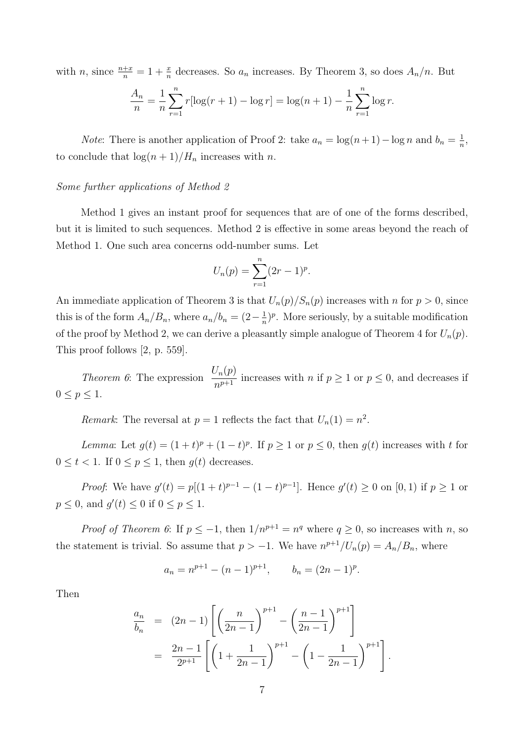with n, since  $\frac{n+x}{n} = 1 + \frac{x}{n}$  decreases. So  $a_n$  increases. By Theorem 3, so does  $A_n/n$ . But

$$
\frac{A_n}{n} = \frac{1}{n} \sum_{r=1}^n r[\log(r+1) - \log r] = \log(n+1) - \frac{1}{n} \sum_{r=1}^n \log r.
$$

*Note*: There is another application of Proof 2: take  $a_n = \log(n+1) - \log n$  and  $b_n = \frac{1}{n}$  $\frac{1}{n},$ to conclude that  $\log(n+1)/H_n$  increases with n.

### Some further applications of Method 2

Method 1 gives an instant proof for sequences that are of one of the forms described, but it is limited to such sequences. Method 2 is effective in some areas beyond the reach of Method 1. One such area concerns odd-number sums. Let

$$
U_n(p) = \sum_{r=1}^n (2r-1)^p.
$$

An immediate application of Theorem 3 is that  $U_n(p)/S_n(p)$  increases with n for  $p > 0$ , since this is of the form  $A_n/B_n$ , where  $a_n/b_n = (2 - \frac{1}{n})$  $\frac{1}{n}$ <sup> $\binom{n}{n}$ </sup>. More seriously, by a suitable modification of the proof by Method 2, we can derive a pleasantly simple analogue of Theorem 4 for  $U_n(p)$ . This proof follows [2, p. 559].

Theorem 6: The expression  $\frac{U_n(p)}{n^{p+1}}$  increases with n if  $p \ge 1$  or  $p \le 0$ , and decreases if  $0 \leq p \leq 1$ .

Remark: The reversal at  $p = 1$  reflects the fact that  $U_n(1) = n^2$ .

Lemma: Let  $g(t) = (1+t)^p + (1-t)^p$ . If  $p \ge 1$  or  $p \le 0$ , then  $g(t)$  increases with t for  $0 \leq t < 1$ . If  $0 \leq p \leq 1$ , then  $g(t)$  decreases.

*Proof*: We have  $g'(t) = p[(1+t)^{p-1} - (1-t)^{p-1}]$ . Hence  $g'(t) \ge 0$  on  $[0,1)$  if  $p \ge 1$  or  $p \leq 0$ , and  $g'(t) \leq 0$  if  $0 \leq p \leq 1$ .

*Proof of Theorem 6*: If  $p \leq -1$ , then  $1/n^{p+1} = n^q$  where  $q \geq 0$ , so increases with *n*, so the statement is trivial. So assume that  $p > -1$ . We have  $n^{p+1}/U_n(p) = A_n/B_n$ , where

$$
a_n = n^{p+1} - (n-1)^{p+1}, \qquad b_n = (2n-1)^p.
$$

Then

$$
\frac{a_n}{b_n} = (2n-1) \left[ \left( \frac{n}{2n-1} \right)^{p+1} - \left( \frac{n-1}{2n-1} \right)^{p+1} \right]
$$

$$
= \frac{2n-1}{2^{p+1}} \left[ \left( 1 + \frac{1}{2n-1} \right)^{p+1} - \left( 1 - \frac{1}{2n-1} \right)^{p+1} \right].
$$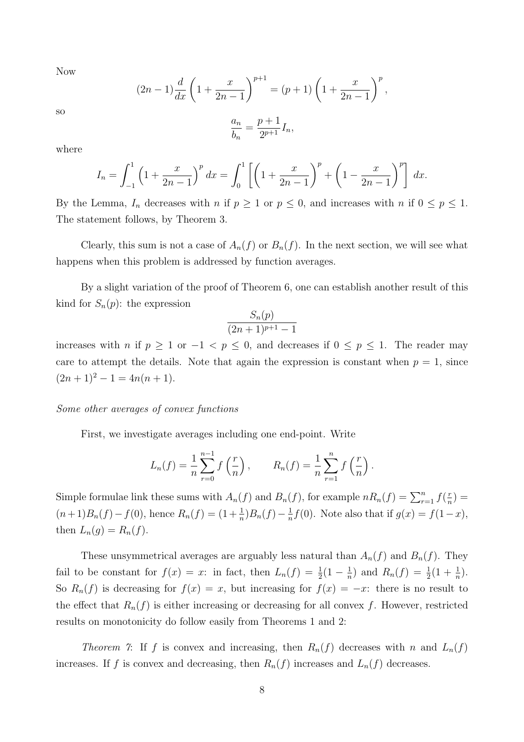Now

$$
(2n-1)\frac{d}{dx}\left(1+\frac{x}{2n-1}\right)^{p+1} = (p+1)\left(1+\frac{x}{2n-1}\right)^p,
$$
  

$$
a_n \qquad p+1
$$

so

$$
\frac{a_n}{b_n} = \frac{p+1}{2^{p+1}} I_n,
$$

where

$$
I_n = \int_{-1}^1 \left(1 + \frac{x}{2n-1}\right)^p dx = \int_0^1 \left[\left(1 + \frac{x}{2n-1}\right)^p + \left(1 - \frac{x}{2n-1}\right)^p\right] dx.
$$

By the Lemma,  $I_n$  decreases with n if  $p \ge 1$  or  $p \le 0$ , and increases with n if  $0 \le p \le 1$ . The statement follows, by Theorem 3.

Clearly, this sum is not a case of  $A_n(f)$  or  $B_n(f)$ . In the next section, we will see what happens when this problem is addressed by function averages.

By a slight variation of the proof of Theorem 6, one can establish another result of this kind for  $S_n(p)$ : the expression

$$
\frac{S_n(p)}{(2n+1)^{p+1}-1}
$$

increases with *n* if  $p \ge 1$  or  $-1 < p \le 0$ , and decreases if  $0 \le p \le 1$ . The reader may care to attempt the details. Note that again the expression is constant when  $p = 1$ , since  $(2n + 1)^2 - 1 = 4n(n + 1).$ 

## Some other averages of convex functions

First, we investigate averages including one end-point. Write

$$
L_n(f) = \frac{1}{n} \sum_{r=0}^{n-1} f\left(\frac{r}{n}\right), \qquad R_n(f) = \frac{1}{n} \sum_{r=1}^{n} f\left(\frac{r}{n}\right).
$$

Simple formulae link these sums with  $A_n(f)$  and  $B_n(f)$ , for example  $nR_n(f) = \sum_{r=1}^n f(\frac{r}{n})$  $\frac{r}{n}) =$  $(n+1)B_n(f) - f(0)$ , hence  $R_n(f) = (1 + \frac{1}{n})B_n(f) - \frac{1}{n}$  $\frac{1}{n}f(0)$ . Note also that if  $g(x) = f(1-x)$ , then  $L_n(g) = R_n(f)$ .

These unsymmetrical averages are arguably less natural than  $A_n(f)$  and  $B_n(f)$ . They fail to be constant for  $f(x) = x$ : in fact, then  $L_n(f) = \frac{1}{2}(1 - \frac{1}{n})$  $\frac{1}{n}$ ) and  $R_n(f) = \frac{1}{2}(1 + \frac{1}{n}).$ So  $R_n(f)$  is decreasing for  $f(x) = x$ , but increasing for  $f(x) = -x$ : there is no result to the effect that  $R_n(f)$  is either increasing or decreasing for all convex f. However, restricted results on monotonicity do follow easily from Theorems 1 and 2:

Theorem 7: If f is convex and increasing, then  $R_n(f)$  decreases with n and  $L_n(f)$ increases. If f is convex and decreasing, then  $R_n(f)$  increases and  $L_n(f)$  decreases.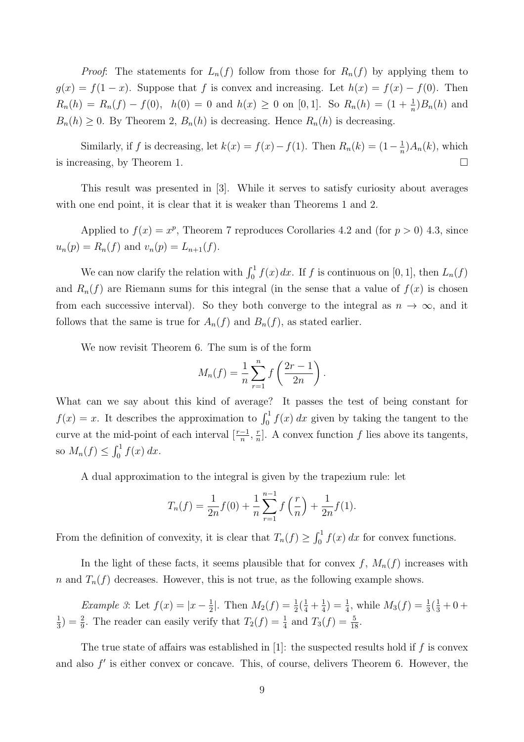*Proof:* The statements for  $L_n(f)$  follow from those for  $R_n(f)$  by applying them to  $g(x) = f(1-x)$ . Suppose that f is convex and increasing. Let  $h(x) = f(x) - f(0)$ . Then  $R_n(h) = R_n(f) - f(0)$ ,  $h(0) = 0$  and  $h(x) \ge 0$  on [0,1]. So  $R_n(h) = (1 + \frac{1}{n})B_n(h)$  and  $B_n(h) \geq 0$ . By Theorem 2,  $B_n(h)$  is decreasing. Hence  $R_n(h)$  is decreasing.

Similarly, if f is decreasing, let  $k(x) = f(x) - f(1)$ . Then  $R_n(k) = (1 - \frac{1}{n})$  $\frac{1}{n}$ ) $A_n(k)$ , which is increasing, by Theorem 1.  $\Box$ 

This result was presented in [3]. While it serves to satisfy curiosity about averages with one end point, it is clear that it is weaker than Theorems 1 and 2.

Applied to  $f(x) = x^p$ , Theorem 7 reproduces Corollaries 4.2 and (for  $p > 0$ ) 4.3, since  $u_n(p) = R_n(f)$  and  $v_n(p) = L_{n+1}(f)$ .

We can now clarify the relation with  $\int_0^1 f(x) dx$ . If f is continuous on [0, 1], then  $L_n(f)$ and  $R_n(f)$  are Riemann sums for this integral (in the sense that a value of  $f(x)$  is chosen from each successive interval). So they both converge to the integral as  $n \to \infty$ , and it follows that the same is true for  $A_n(f)$  and  $B_n(f)$ , as stated earlier.

We now revisit Theorem 6. The sum is of the form

$$
M_n(f) = \frac{1}{n} \sum_{r=1}^n f\left(\frac{2r-1}{2n}\right).
$$

What can we say about this kind of average? It passes the test of being constant for  $f(x) = x$ . It describes the approximation to  $\int_0^1 f(x) dx$  given by taking the tangent to the curve at the mid-point of each interval  $\left[\frac{r-1}{n}, \frac{r}{n}\right]$  $\frac{r}{n}$ . A convex function f lies above its tangents, so  $M_n(f) \leq \int_0^1 f(x) dx$ .

A dual approximation to the integral is given by the trapezium rule: let

$$
T_n(f) = \frac{1}{2n}f(0) + \frac{1}{n}\sum_{r=1}^{n-1} f\left(\frac{r}{n}\right) + \frac{1}{2n}f(1).
$$

From the definition of convexity, it is clear that  $T_n(f) \geq \int_0^1 f(x) dx$  for convex functions.

In the light of these facts, it seems plausible that for convex  $f, M_n(f)$  increases with n and  $T_n(f)$  decreases. However, this is not true, as the following example shows.

Example 3: Let  $f(x) = |x-\frac{1}{2}|$  $\frac{1}{2}$ . Then  $M_2(f) = \frac{1}{2}(\frac{1}{4} + \frac{1}{4})$  $\frac{1}{4}$ ) =  $\frac{1}{4}$ , while  $M_3(f) = \frac{1}{3}(\frac{1}{3} + 0 +$ 1  $\frac{1}{3}$ ) =  $\frac{2}{9}$ . The reader can easily verify that  $T_2(f) = \frac{1}{4}$  and  $T_3(f) = \frac{5}{18}$ .

The true state of affairs was established in [1]: the suspected results hold if  $f$  is convex and also  $f'$  is either convex or concave. This, of course, delivers Theorem 6. However, the